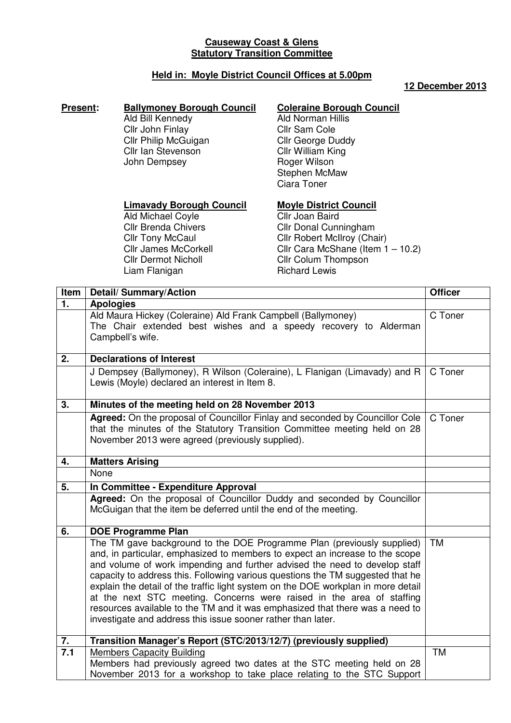# **Causeway Coast & Glens Statutory Transition Committee**

# **Held in: Moyle District Council Offices at 5.00pm**

#### **12 December 2013**

### **Present: Ballymoney Borough Council**

Ald Bill Kennedy Cllr John Finlay Cllr Philip McGuigan Cllr Ian Stevenson John Dempsey

### **Coleraine Borough Council**

Ald Norman Hillis Cllr Sam Cole Cllr George Duddy Cllr William King Roger Wilson Stephen McMaw Ciara Toner

#### **Limavady Borough Council**

Ald Michael Coyle Cllr Brenda Chivers **Cllr Tony McCaul** Cllr James McCorkell Cllr Dermot Nicholl Liam Flanigan

### **Moyle District Council**

Cllr Joan Baird Cllr Donal Cunningham Cllr Robert McIlroy (Chair) Cllr Cara McShane (Item 1 – 10.2) Cllr Colum Thompson Richard Lewis

| Item | <b>Detail/Summary/Action</b>                                                                                                                                                                                                                                                                                                                                                                                                                                                                                                                                                                                                         | <b>Officer</b> |
|------|--------------------------------------------------------------------------------------------------------------------------------------------------------------------------------------------------------------------------------------------------------------------------------------------------------------------------------------------------------------------------------------------------------------------------------------------------------------------------------------------------------------------------------------------------------------------------------------------------------------------------------------|----------------|
| 1.   | <b>Apologies</b>                                                                                                                                                                                                                                                                                                                                                                                                                                                                                                                                                                                                                     |                |
|      | Ald Maura Hickey (Coleraine) Ald Frank Campbell (Ballymoney)<br>The Chair extended best wishes and a speedy recovery to Alderman<br>Campbell's wife.                                                                                                                                                                                                                                                                                                                                                                                                                                                                                 | C Toner        |
| 2.   | <b>Declarations of Interest</b>                                                                                                                                                                                                                                                                                                                                                                                                                                                                                                                                                                                                      |                |
|      | J Dempsey (Ballymoney), R Wilson (Coleraine), L Flanigan (Limavady) and R<br>Lewis (Moyle) declared an interest in Item 8.                                                                                                                                                                                                                                                                                                                                                                                                                                                                                                           | C Toner        |
| 3.   | Minutes of the meeting held on 28 November 2013                                                                                                                                                                                                                                                                                                                                                                                                                                                                                                                                                                                      |                |
|      | Agreed: On the proposal of Councillor Finlay and seconded by Councillor Cole<br>that the minutes of the Statutory Transition Committee meeting held on 28<br>November 2013 were agreed (previously supplied).                                                                                                                                                                                                                                                                                                                                                                                                                        | C Toner        |
| 4.   | <b>Matters Arising</b>                                                                                                                                                                                                                                                                                                                                                                                                                                                                                                                                                                                                               |                |
|      | None                                                                                                                                                                                                                                                                                                                                                                                                                                                                                                                                                                                                                                 |                |
| 5.   | In Committee - Expenditure Approval                                                                                                                                                                                                                                                                                                                                                                                                                                                                                                                                                                                                  |                |
|      | Agreed: On the proposal of Councillor Duddy and seconded by Councillor<br>McGuigan that the item be deferred until the end of the meeting.                                                                                                                                                                                                                                                                                                                                                                                                                                                                                           |                |
| 6.   | <b>DOE Programme Plan</b>                                                                                                                                                                                                                                                                                                                                                                                                                                                                                                                                                                                                            |                |
|      | The TM gave background to the DOE Programme Plan (previously supplied)<br>and, in particular, emphasized to members to expect an increase to the scope<br>and volume of work impending and further advised the need to develop staff<br>capacity to address this. Following various questions the TM suggested that he<br>explain the detail of the traffic light system on the DOE workplan in more detail<br>at the next STC meeting. Concerns were raised in the area of staffing<br>resources available to the TM and it was emphasized that there was a need to<br>investigate and address this issue sooner rather than later. | <b>TM</b>      |
| 7.   | Transition Manager's Report (STC/2013/12/7) (previously supplied)                                                                                                                                                                                                                                                                                                                                                                                                                                                                                                                                                                    |                |
| 7.1  | <b>Members Capacity Building</b><br>Members had previously agreed two dates at the STC meeting held on 28<br>November 2013 for a workshop to take place relating to the STC Support                                                                                                                                                                                                                                                                                                                                                                                                                                                  | <b>TM</b>      |